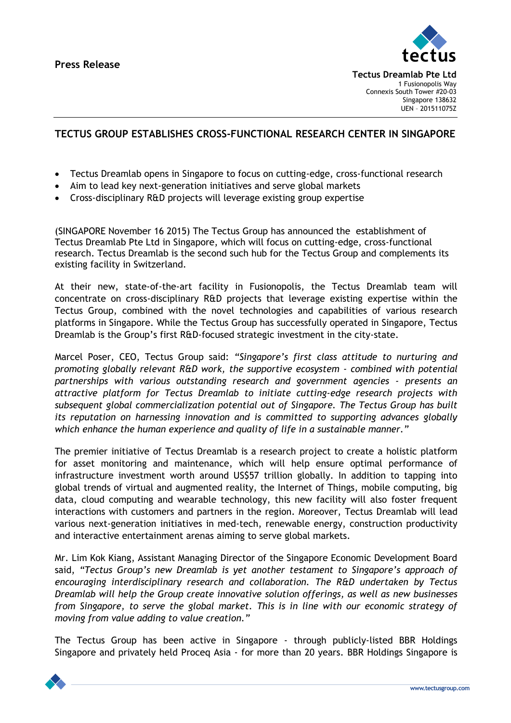

**Tectus Dreamlab Pte Ltd** 1 Fusionopolis Way Connexis South Tower #20-03 Singapore 138632 UEN – 201511075Z

## **TECTUS GROUP ESTABLISHES CROSS-FUNCTIONAL RESEARCH CENTER IN SINGAPORE**

- Tectus Dreamlab opens in Singapore to focus on cutting-edge, cross-functional research
- Aim to lead key next-generation initiatives and serve global markets
- Cross-disciplinary R&D projects will leverage existing group expertise

(SINGAPORE November 16 2015) The Tectus Group has announced the establishment of Tectus Dreamlab Pte Ltd in Singapore, which will focus on cutting-edge, cross-functional research. Tectus Dreamlab is the second such hub for the Tectus Group and complements its existing facility in Switzerland.

At their new, state-of-the-art facility in Fusionopolis, the Tectus Dreamlab team will concentrate on cross-disciplinary R&D projects that leverage existing expertise within the Tectus Group, combined with the novel technologies and capabilities of various research platforms in Singapore. While the Tectus Group has successfully operated in Singapore, Tectus Dreamlab is the Group's first R&D-focused strategic investment in the city-state.

Marcel Poser, CEO, Tectus Group said: *"Singapore's first class attitude to nurturing and promoting globally relevant R&D work, the supportive ecosystem - combined with potential partnerships with various outstanding research and government agencies - presents an attractive platform for Tectus Dreamlab to initiate cutting-edge research projects with subsequent global commercialization potential out of Singapore. The Tectus Group has built its reputation on harnessing innovation and is committed to supporting advances globally which enhance the human experience and quality of life in a sustainable manner."*

The premier initiative of Tectus Dreamlab is a research project to create a holistic platform for asset monitoring and maintenance, which will help ensure optimal performance of infrastructure investment worth around US\$57 trillion globally. In addition to tapping into global trends of virtual and augmented reality, the Internet of Things, mobile computing, big data, cloud computing and wearable technology, this new facility will also foster frequent interactions with customers and partners in the region. Moreover, Tectus Dreamlab will lead various next-generation initiatives in med-tech, renewable energy, construction productivity and interactive entertainment arenas aiming to serve global markets.

Mr. Lim Kok Kiang, Assistant Managing Director of the Singapore Economic Development Board said, *"Tectus Group's new Dreamlab is yet another testament to Singapore's approach of encouraging interdisciplinary research and collaboration. The R&D undertaken by Tectus Dreamlab will help the Group create innovative solution offerings, as well as new businesses from Singapore, to serve the global market. This is in line with our economic strategy of moving from value adding to value creation."*

The Tectus Group has been active in Singapore - through publicly-listed BBR Holdings Singapore and privately held Proceq Asia - for more than 20 years. BBR Holdings Singapore is